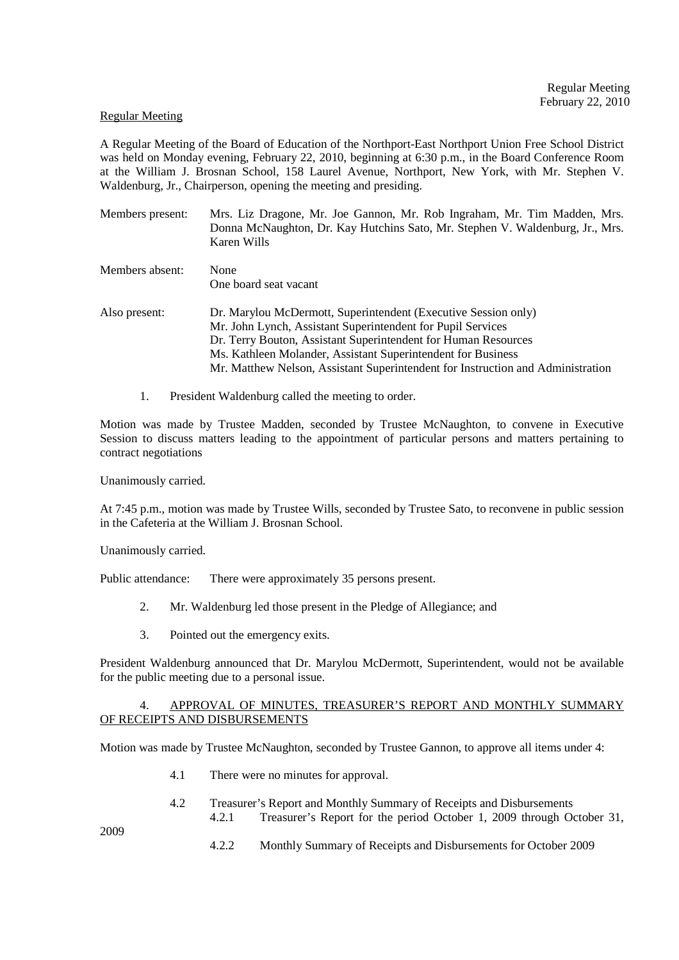#### Regular Meeting

A Regular Meeting of the Board of Education of the Northport-East Northport Union Free School District was held on Monday evening, February 22, 2010, beginning at 6:30 p.m., in the Board Conference Room at the William J. Brosnan School, 158 Laurel Avenue, Northport, New York, with Mr. Stephen V. Waldenburg, Jr., Chairperson, opening the meeting and presiding.

- Members present: Mrs. Liz Dragone, Mr. Joe Gannon, Mr. Rob Ingraham, Mr. Tim Madden, Mrs. Donna McNaughton, Dr. Kay Hutchins Sato, Mr. Stephen V. Waldenburg, Jr., Mrs. Karen Wills Members absent: None
- Also present: Dr. Marylou McDermott, Superintendent (Executive Session only) Mr. John Lynch, Assistant Superintendent for Pupil Services Dr. Terry Bouton, Assistant Superintendent for Human Resources Ms. Kathleen Molander, Assistant Superintendent for Business Mr. Matthew Nelson, Assistant Superintendent for Instruction and Administration
	- 1. President Waldenburg called the meeting to order.

One board seat vacant

Motion was made by Trustee Madden, seconded by Trustee McNaughton, to convene in Executive Session to discuss matters leading to the appointment of particular persons and matters pertaining to contract negotiations

Unanimously carried.

At 7:45 p.m., motion was made by Trustee Wills, seconded by Trustee Sato, to reconvene in public session in the Cafeteria at the William J. Brosnan School.

Unanimously carried.

Public attendance: There were approximately 35 persons present.

- 2. Mr. Waldenburg led those present in the Pledge of Allegiance; and
- 3. Pointed out the emergency exits.

President Waldenburg announced that Dr. Marylou McDermott, Superintendent, would not be available for the public meeting due to a personal issue.

### 4. APPROVAL OF MINUTES, TREASURER'S REPORT AND MONTHLY SUMMARY OF RECEIPTS AND DISBURSEMENTS

Motion was made by Trustee McNaughton, seconded by Trustee Gannon, to approve all items under 4:

- 4.1 There were no minutes for approval.
- 4.2 Treasurer's Report and Monthly Summary of Receipts and Disbursements 4.2.1 Treasurer's Report for the period October 1, 2009 through October 31,

2009

4.2.2 Monthly Summary of Receipts and Disbursements for October 2009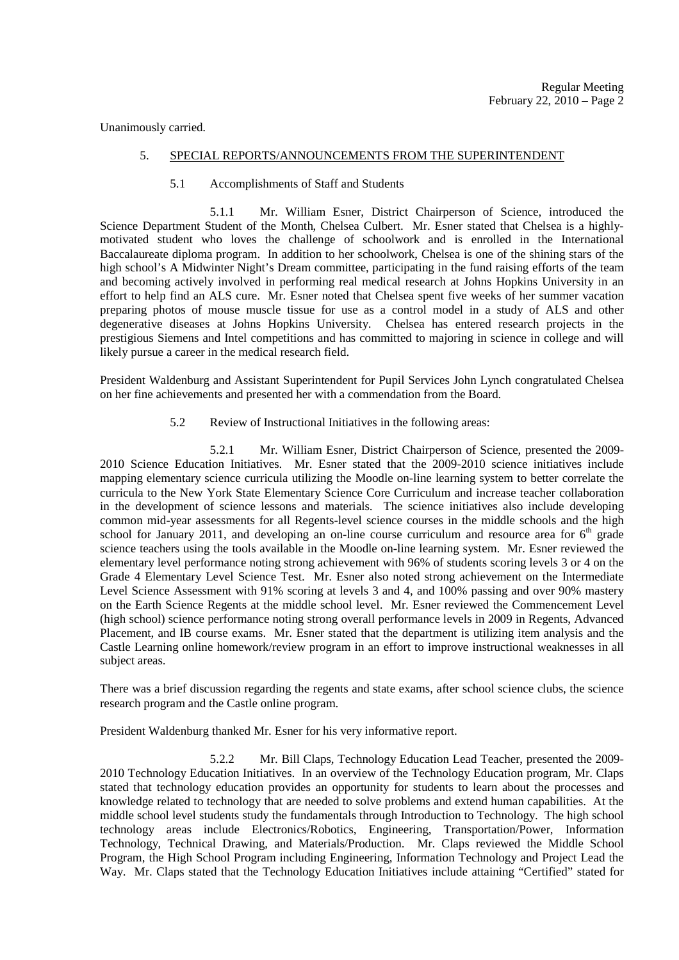Unanimously carried.

### 5. SPECIAL REPORTS/ANNOUNCEMENTS FROM THE SUPERINTENDENT

### 5.1 Accomplishments of Staff and Students

 5.1.1 Mr. William Esner, District Chairperson of Science, introduced the Science Department Student of the Month, Chelsea Culbert. Mr. Esner stated that Chelsea is a highlymotivated student who loves the challenge of schoolwork and is enrolled in the International Baccalaureate diploma program. In addition to her schoolwork, Chelsea is one of the shining stars of the high school's A Midwinter Night's Dream committee, participating in the fund raising efforts of the team and becoming actively involved in performing real medical research at Johns Hopkins University in an effort to help find an ALS cure. Mr. Esner noted that Chelsea spent five weeks of her summer vacation preparing photos of mouse muscle tissue for use as a control model in a study of ALS and other degenerative diseases at Johns Hopkins University. Chelsea has entered research projects in the prestigious Siemens and Intel competitions and has committed to majoring in science in college and will likely pursue a career in the medical research field.

President Waldenburg and Assistant Superintendent for Pupil Services John Lynch congratulated Chelsea on her fine achievements and presented her with a commendation from the Board.

5.2 Review of Instructional Initiatives in the following areas:

 5.2.1 Mr. William Esner, District Chairperson of Science, presented the 2009- 2010 Science Education Initiatives. Mr. Esner stated that the 2009-2010 science initiatives include mapping elementary science curricula utilizing the Moodle on-line learning system to better correlate the curricula to the New York State Elementary Science Core Curriculum and increase teacher collaboration in the development of science lessons and materials. The science initiatives also include developing common mid-year assessments for all Regents-level science courses in the middle schools and the high school for January 2011, and developing an on-line course curriculum and resource area for  $6<sup>th</sup>$  grade science teachers using the tools available in the Moodle on-line learning system. Mr. Esner reviewed the elementary level performance noting strong achievement with 96% of students scoring levels 3 or 4 on the Grade 4 Elementary Level Science Test. Mr. Esner also noted strong achievement on the Intermediate Level Science Assessment with 91% scoring at levels 3 and 4, and 100% passing and over 90% mastery on the Earth Science Regents at the middle school level. Mr. Esner reviewed the Commencement Level (high school) science performance noting strong overall performance levels in 2009 in Regents, Advanced Placement, and IB course exams. Mr. Esner stated that the department is utilizing item analysis and the Castle Learning online homework/review program in an effort to improve instructional weaknesses in all subject areas.

There was a brief discussion regarding the regents and state exams, after school science clubs, the science research program and the Castle online program.

President Waldenburg thanked Mr. Esner for his very informative report.

 5.2.2 Mr. Bill Claps, Technology Education Lead Teacher, presented the 2009- 2010 Technology Education Initiatives. In an overview of the Technology Education program, Mr. Claps stated that technology education provides an opportunity for students to learn about the processes and knowledge related to technology that are needed to solve problems and extend human capabilities. At the middle school level students study the fundamentals through Introduction to Technology. The high school technology areas include Electronics/Robotics, Engineering, Transportation/Power, Information Technology, Technical Drawing, and Materials/Production. Mr. Claps reviewed the Middle School Program, the High School Program including Engineering, Information Technology and Project Lead the Way. Mr. Claps stated that the Technology Education Initiatives include attaining "Certified" stated for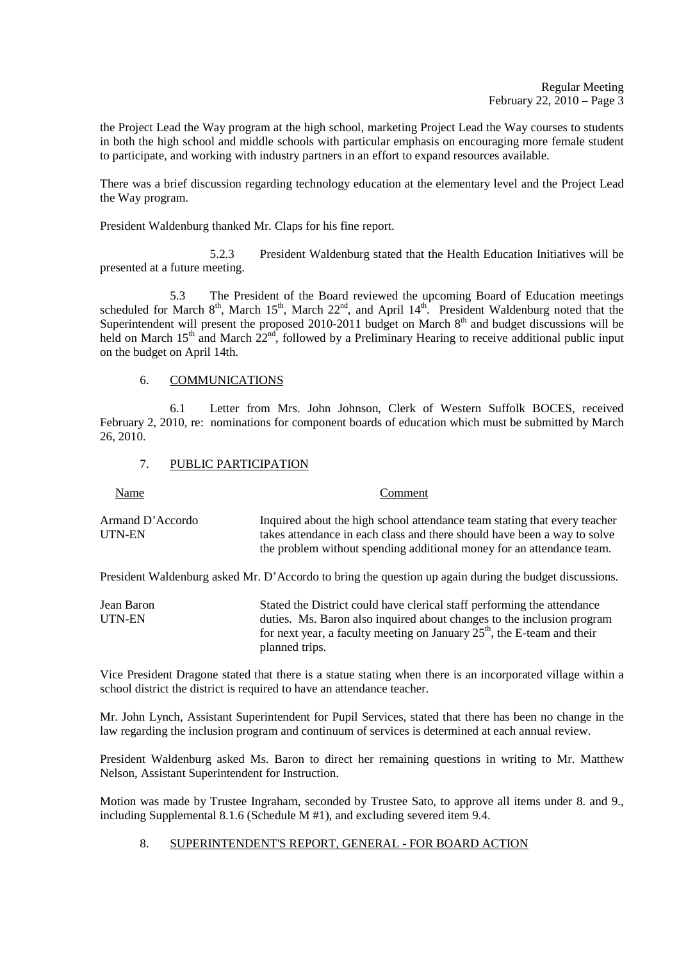the Project Lead the Way program at the high school, marketing Project Lead the Way courses to students in both the high school and middle schools with particular emphasis on encouraging more female student to participate, and working with industry partners in an effort to expand resources available.

There was a brief discussion regarding technology education at the elementary level and the Project Lead the Way program.

President Waldenburg thanked Mr. Claps for his fine report.

 5.2.3 President Waldenburg stated that the Health Education Initiatives will be presented at a future meeting.

 5.3 The President of the Board reviewed the upcoming Board of Education meetings scheduled for March 8<sup>th</sup>, March 15<sup>th</sup>, March 22<sup>nd</sup>, and April 14<sup>th</sup>. President Waldenburg noted that the Superintendent will present the proposed 2010-2011 budget on March  $8<sup>th</sup>$  and budget discussions will be held on March  $15<sup>th</sup>$  and March  $22<sup>nd</sup>$ , followed by a Preliminary Hearing to receive additional public input on the budget on April 14th.

# 6. COMMUNICATIONS

 6.1 Letter from Mrs. John Johnson, Clerk of Western Suffolk BOCES, received February 2, 2010, re: nominations for component boards of education which must be submitted by March 26, 2010.

#### 7. PUBLIC PARTICIPATION

 Name Comment Armand D'Accordo Inquired about the high school attendance team stating that every teacher UTN-EN takes attendance in each class and there should have been a way to solve the problem without spending additional money for an attendance team.

President Waldenburg asked Mr. D'Accordo to bring the question up again during the budget discussions.

| Jean Baron | Stated the District could have clerical staff performing the attendance   |
|------------|---------------------------------------------------------------------------|
| UTN-EN     | duties. Ms. Baron also inquired about changes to the inclusion program    |
|            | for next year, a faculty meeting on January $25th$ , the E-team and their |
|            | planned trips.                                                            |

Vice President Dragone stated that there is a statue stating when there is an incorporated village within a school district the district is required to have an attendance teacher.

Mr. John Lynch, Assistant Superintendent for Pupil Services, stated that there has been no change in the law regarding the inclusion program and continuum of services is determined at each annual review.

President Waldenburg asked Ms. Baron to direct her remaining questions in writing to Mr. Matthew Nelson, Assistant Superintendent for Instruction.

Motion was made by Trustee Ingraham, seconded by Trustee Sato, to approve all items under 8. and 9., including Supplemental 8.1.6 (Schedule M #1), and excluding severed item 9.4.

# 8. SUPERINTENDENT'S REPORT, GENERAL - FOR BOARD ACTION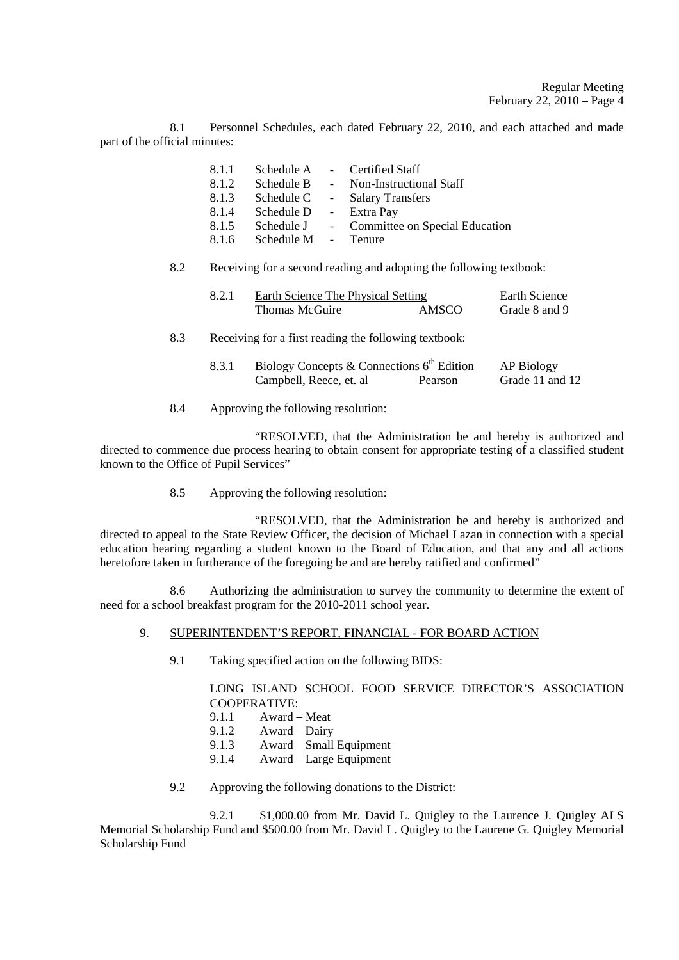8.1 Personnel Schedules, each dated February 22, 2010, and each attached and made part of the official minutes:

| 8.1.1 | Schedule A          | - Certified Staff                |
|-------|---------------------|----------------------------------|
| 8.1.2 | Schedule B          | - Non-Instructional Staff        |
| 8.1.3 | Schedule C          | - Salary Transfers               |
| 8.1.4 | Schedule D          | - Extra Pay                      |
| 8.1.5 | Schedule J          | - Committee on Special Education |
| 8.1.6 | Schedule M - Tenure |                                  |

### 8.2 Receiving for a second reading and adopting the following textbook:

| Earth Science The Physical Setting | Earth Science |               |
|------------------------------------|---------------|---------------|
| Thomas McGuire                     | AMSCO         | Grade 8 and 9 |

# 8.3 Receiving for a first reading the following textbook:

| Biology Concepts & Connections $6th$ Edition | AP Biology |                 |
|----------------------------------------------|------------|-----------------|
| Campbell, Reece, et. al                      | Pearson    | Grade 11 and 12 |

8.4 Approving the following resolution:

 "RESOLVED, that the Administration be and hereby is authorized and directed to commence due process hearing to obtain consent for appropriate testing of a classified student known to the Office of Pupil Services"

8.5 Approving the following resolution:

 "RESOLVED, that the Administration be and hereby is authorized and directed to appeal to the State Review Officer, the decision of Michael Lazan in connection with a special education hearing regarding a student known to the Board of Education, and that any and all actions heretofore taken in furtherance of the foregoing be and are hereby ratified and confirmed"

 8.6 Authorizing the administration to survey the community to determine the extent of need for a school breakfast program for the 2010-2011 school year.

# 9. SUPERINTENDENT'S REPORT, FINANCIAL - FOR BOARD ACTION

9.1 Taking specified action on the following BIDS:

# LONG ISLAND SCHOOL FOOD SERVICE DIRECTOR'S ASSOCIATION COOPERATIVE:

- 9.1.1 Award Meat
- 9.1.2 Award Dairy<br>9.1.3 Award Small
- 9.1.3 Award Small Equipment
- 9.1.4 Award Large Equipment
- 9.2 Approving the following donations to the District:

 9.2.1 \$1,000.00 from Mr. David L. Quigley to the Laurence J. Quigley ALS Memorial Scholarship Fund and \$500.00 from Mr. David L. Quigley to the Laurene G. Quigley Memorial Scholarship Fund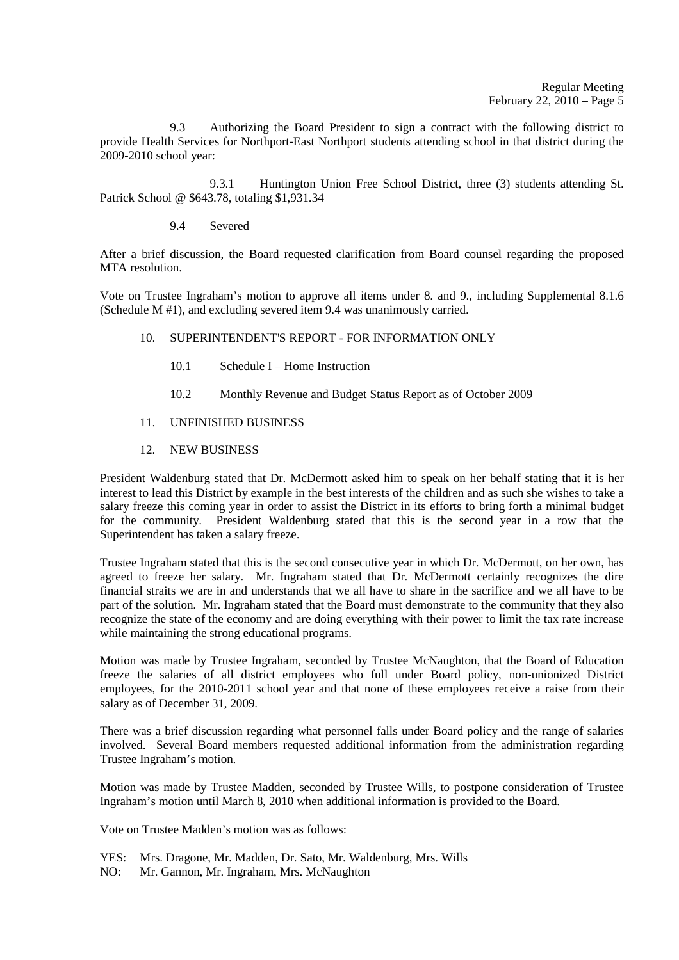9.3 Authorizing the Board President to sign a contract with the following district to provide Health Services for Northport-East Northport students attending school in that district during the 2009-2010 school year:

 9.3.1 Huntington Union Free School District, three (3) students attending St. Patrick School @ \$643.78, totaling \$1,931.34

9.4 Severed

After a brief discussion, the Board requested clarification from Board counsel regarding the proposed MTA resolution.

Vote on Trustee Ingraham's motion to approve all items under 8. and 9., including Supplemental 8.1.6 (Schedule M #1), and excluding severed item 9.4 was unanimously carried.

# 10. SUPERINTENDENT'S REPORT - FOR INFORMATION ONLY

- 10.1 Schedule I Home Instruction
- 10.2 Monthly Revenue and Budget Status Report as of October 2009
- 11. UNFINISHED BUSINESS
- 12. NEW BUSINESS

President Waldenburg stated that Dr. McDermott asked him to speak on her behalf stating that it is her interest to lead this District by example in the best interests of the children and as such she wishes to take a salary freeze this coming year in order to assist the District in its efforts to bring forth a minimal budget for the community. President Waldenburg stated that this is the second year in a row that the Superintendent has taken a salary freeze.

Trustee Ingraham stated that this is the second consecutive year in which Dr. McDermott, on her own, has agreed to freeze her salary. Mr. Ingraham stated that Dr. McDermott certainly recognizes the dire financial straits we are in and understands that we all have to share in the sacrifice and we all have to be part of the solution. Mr. Ingraham stated that the Board must demonstrate to the community that they also recognize the state of the economy and are doing everything with their power to limit the tax rate increase while maintaining the strong educational programs.

Motion was made by Trustee Ingraham, seconded by Trustee McNaughton, that the Board of Education freeze the salaries of all district employees who full under Board policy, non-unionized District employees, for the 2010-2011 school year and that none of these employees receive a raise from their salary as of December 31, 2009.

There was a brief discussion regarding what personnel falls under Board policy and the range of salaries involved. Several Board members requested additional information from the administration regarding Trustee Ingraham's motion.

Motion was made by Trustee Madden, seconded by Trustee Wills, to postpone consideration of Trustee Ingraham's motion until March 8, 2010 when additional information is provided to the Board.

Vote on Trustee Madden's motion was as follows:

- YES: Mrs. Dragone, Mr. Madden, Dr. Sato, Mr. Waldenburg, Mrs. Wills
- NO: Mr. Gannon, Mr. Ingraham, Mrs. McNaughton